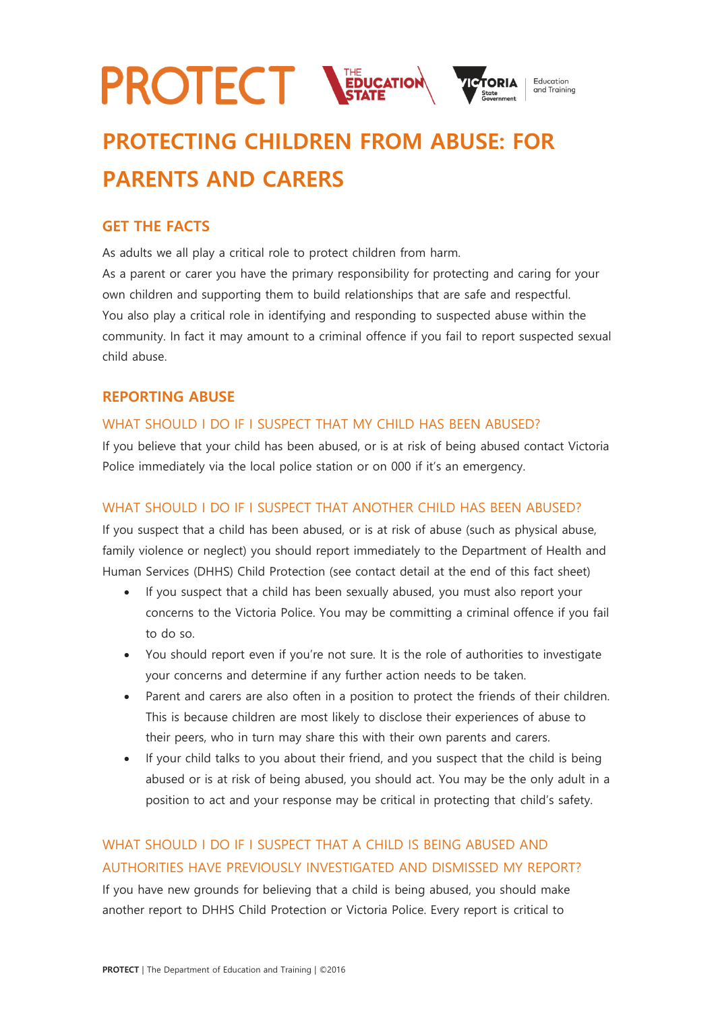

# **PROTECTING CHILDREN FROM ABUSE: FOR PARENTS AND CARERS**

# **GET THE FACTS**

As adults we all play a critical role to protect children from harm.

As a parent or carer you have the primary responsibility for protecting and caring for your own children and supporting them to build relationships that are safe and respectful. You also play a critical role in identifying and responding to suspected abuse within the community. In fact it may amount to a criminal offence if you fail to report suspected sexual child abuse.

# **REPORTING ABUSE**

# WHAT SHOULD I DO IF I SUSPECT THAT MY CHILD HAS BEEN ABUSED?

If you believe that your child has been abused, or is at risk of being abused contact Victoria Police immediately via the local police station or on 000 if it's an emergency.

## WHAT SHOULD I DO IF I SUSPECT THAT ANOTHER CHILD HAS BEEN ABUSED?

If you suspect that a child has been abused, or is at risk of abuse (such as physical abuse, family violence or neglect) you should report immediately to the Department of Health and Human Services (DHHS) Child Protection (see contact detail at the end of this fact sheet)

- If you suspect that a child has been sexually abused, you must also report your concerns to the Victoria Police. You may be committing a criminal offence if you fail to do so.
- You should report even if you're not sure. It is the role of authorities to investigate your concerns and determine if any further action needs to be taken.
- Parent and carers are also often in a position to protect the friends of their children. This is because children are most likely to disclose their experiences of abuse to their peers, who in turn may share this with their own parents and carers.
- If your child talks to you about their friend, and you suspect that the child is being abused or is at risk of being abused, you should act. You may be the only adult in a position to act and your response may be critical in protecting that child's safety.

# WHAT SHOULD I DO IF I SUSPECT THAT A CHILD IS BEING ABUSED AND AUTHORITIES HAVE PREVIOUSLY INVESTIGATED AND DISMISSED MY REPORT?

If you have new grounds for believing that a child is being abused, you should make another report to DHHS Child Protection or Victoria Police. Every report is critical to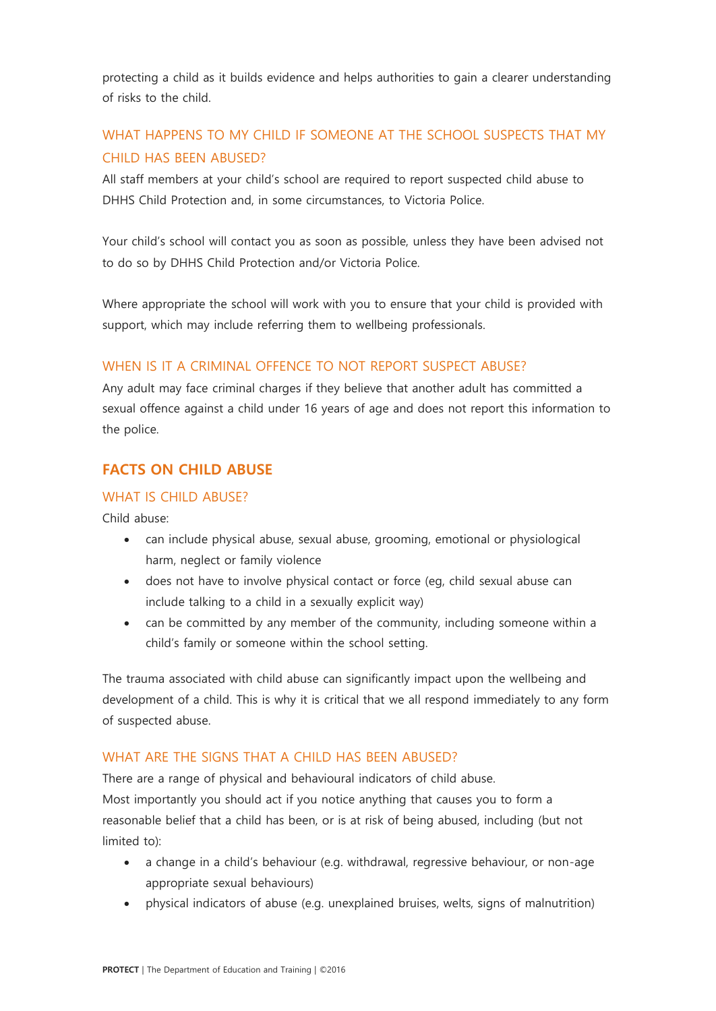protecting a child as it builds evidence and helps authorities to gain a clearer understanding of risks to the child.

# WHAT HAPPENS TO MY CHILD IF SOMEONE AT THE SCHOOL SUSPECTS THAT MY CHILD HAS BEEN ABUSED?

All staff members at your child's school are required to report suspected child abuse to DHHS Child Protection and, in some circumstances, to Victoria Police.

Your child's school will contact you as soon as possible, unless they have been advised not to do so by DHHS Child Protection and/or Victoria Police.

Where appropriate the school will work with you to ensure that your child is provided with support, which may include referring them to wellbeing professionals.

# WHEN IS IT A CRIMINAL OFFENCE TO NOT REPORT SUSPECT ABUSE?

Any adult may face criminal charges if they believe that another adult has committed a sexual offence against a child under 16 years of age and does not report this information to the police.

# **FACTS ON CHILD ABUSE**

## WHAT IS CHILD ABUSE?

Child abuse:

- can include physical abuse, sexual abuse, grooming, emotional or physiological harm, neglect or family violence
- does not have to involve physical contact or force (eg, child sexual abuse can include talking to a child in a sexually explicit way)
- can be committed by any member of the community, including someone within a child's family or someone within the school setting.

The trauma associated with child abuse can significantly impact upon the wellbeing and development of a child. This is why it is critical that we all respond immediately to any form of suspected abuse.

## WHAT ARE THE SIGNS THAT A CHILD HAS BEEN ABUSED?

There are a range of physical and behavioural indicators of child abuse. Most importantly you should act if you notice anything that causes you to form a reasonable belief that a child has been, or is at risk of being abused, including (but not limited to):

- a change in a child's behaviour (e.g. withdrawal, regressive behaviour, or non-age appropriate sexual behaviours)
- physical indicators of abuse (e.g. unexplained bruises, welts, signs of malnutrition)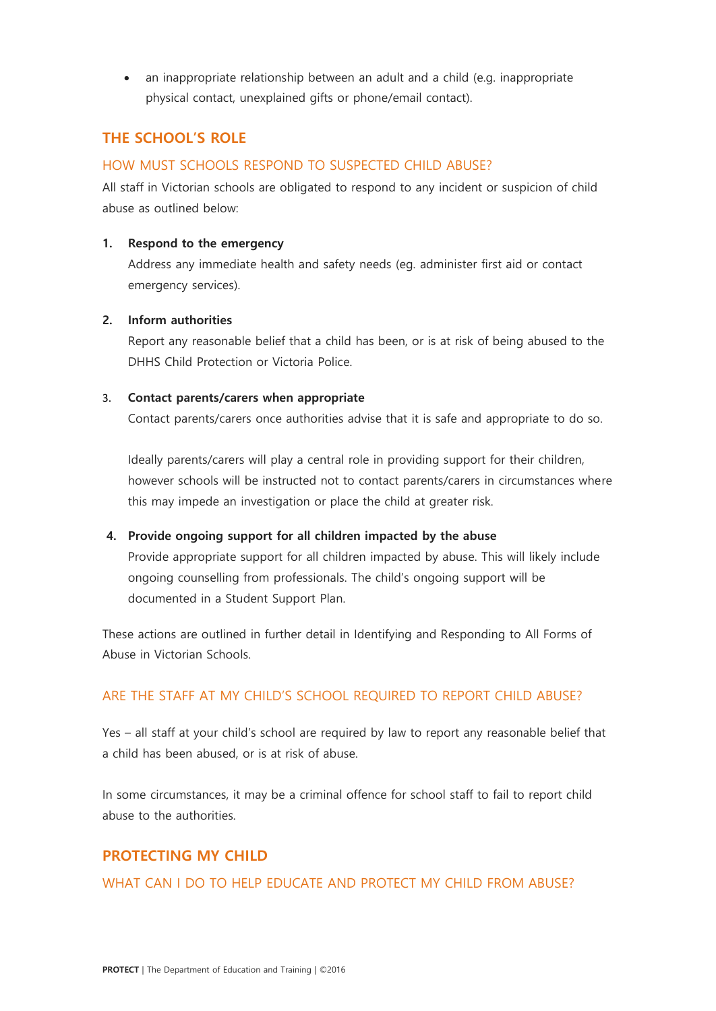• an inappropriate relationship between an adult and a child (e.g. inappropriate physical contact, unexplained gifts or phone/email contact).

# **THE SCHOOL'S ROLE**

#### HOW MUST SCHOOLS RESPOND TO SUSPECTED CHILD ABUSE?

All staff in Victorian schools are obligated to respond to any incident or suspicion of child abuse as outlined below:

#### **1. Respond to the emergency**

Address any immediate health and safety needs (eg. administer first aid or contact emergency services).

#### **2. Inform authorities**

Report any reasonable belief that a child has been, or is at risk of being abused to the DHHS Child Protection or Victoria Police.

#### 3. **Contact parents/carers when appropriate**

Contact parents/carers once authorities advise that it is safe and appropriate to do so.

Ideally parents/carers will play a central role in providing support for their children, however schools will be instructed not to contact parents/carers in circumstances where this may impede an investigation or place the child at greater risk.

#### **4. Provide ongoing support for all children impacted by the abuse**

Provide appropriate support for all children impacted by abuse. This will likely include ongoing counselling from professionals. The child's ongoing support will be documented in a Student Support Plan.

These actions are outlined in further detail in Identifying and Responding to All Forms of Abuse in Victorian Schools.

## ARE THE STAFF AT MY CHILD'S SCHOOL REQUIRED TO REPORT CHILD ABUSE?

Yes – all staff at your child's school are required by law to report any reasonable belief that a child has been abused, or is at risk of abuse.

In some circumstances, it may be a criminal offence for school staff to fail to report child abuse to the authorities.

# **PROTECTING MY CHILD**

WHAT CAN I DO TO HELP EDUCATE AND PROTECT MY CHILD FROM ABUSE?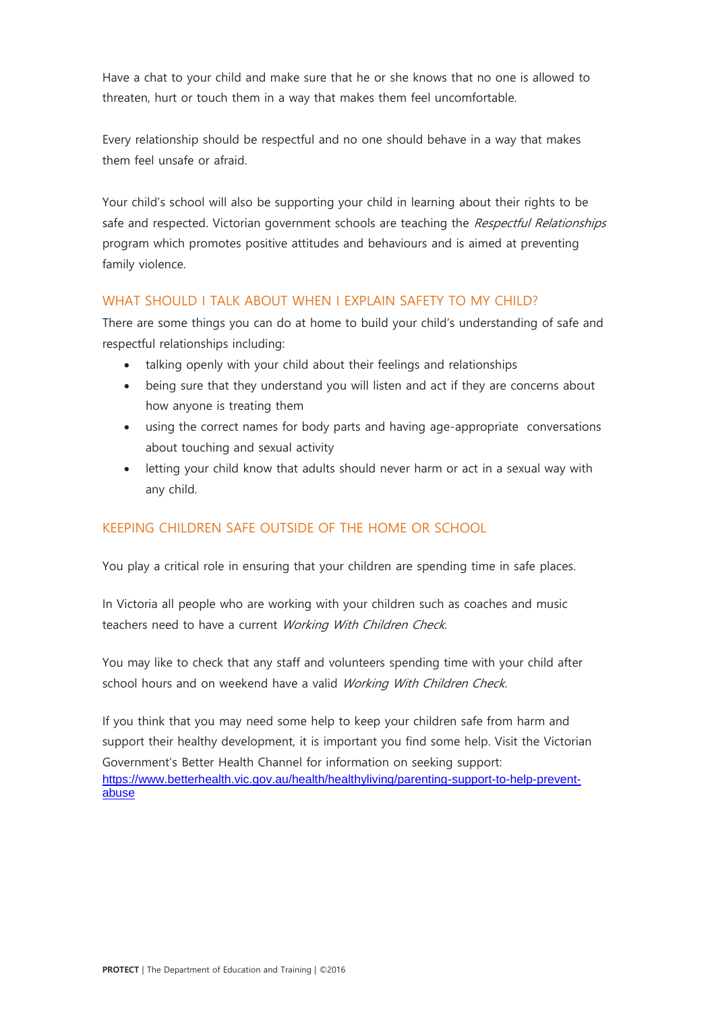Have a chat to your child and make sure that he or she knows that no one is allowed to threaten, hurt or touch them in a way that makes them feel uncomfortable.

Every relationship should be respectful and no one should behave in a way that makes them feel unsafe or afraid.

Your child's school will also be supporting your child in learning about their rights to be safe and respected. Victorian government schools are teaching the Respectful Relationships program which promotes positive attitudes and behaviours and is aimed at preventing family violence.

# WHAT SHOULD LTALK ABOUT WHEN LEXPLAIN SAFETY TO MY CHILD?

There are some things you can do at home to build your child's understanding of safe and respectful relationships including:

- talking openly with your child about their feelings and relationships
- being sure that they understand you will listen and act if they are concerns about how anyone is treating them
- using the correct names for body parts and having age-appropriate conversations about touching and sexual activity
- letting your child know that adults should never harm or act in a sexual way with any child.

# KEEPING CHILDREN SAFE OUTSIDE OF THE HOME OR SCHOOL

You play a critical role in ensuring that your children are spending time in safe places.

In Victoria all people who are working with your children such as coaches and music teachers need to have a current Working With Children Check.

You may like to check that any staff and volunteers spending time with your child after school hours and on weekend have a valid Working With Children Check.

If you think that you may need some help to keep your children safe from harm and support their healthy development, it is important you find some help. Visit the Victorian Government's Better Health Channel for information on seeking support: [https://www.betterhealth.vic.gov.au/health/healthyliving/parenting-support-to-help-prevent](https://www.betterhealth.vic.gov.au/health/healthyliving/parenting-support-to-help-prevent-abuse)[abuse](https://www.betterhealth.vic.gov.au/health/healthyliving/parenting-support-to-help-prevent-abuse)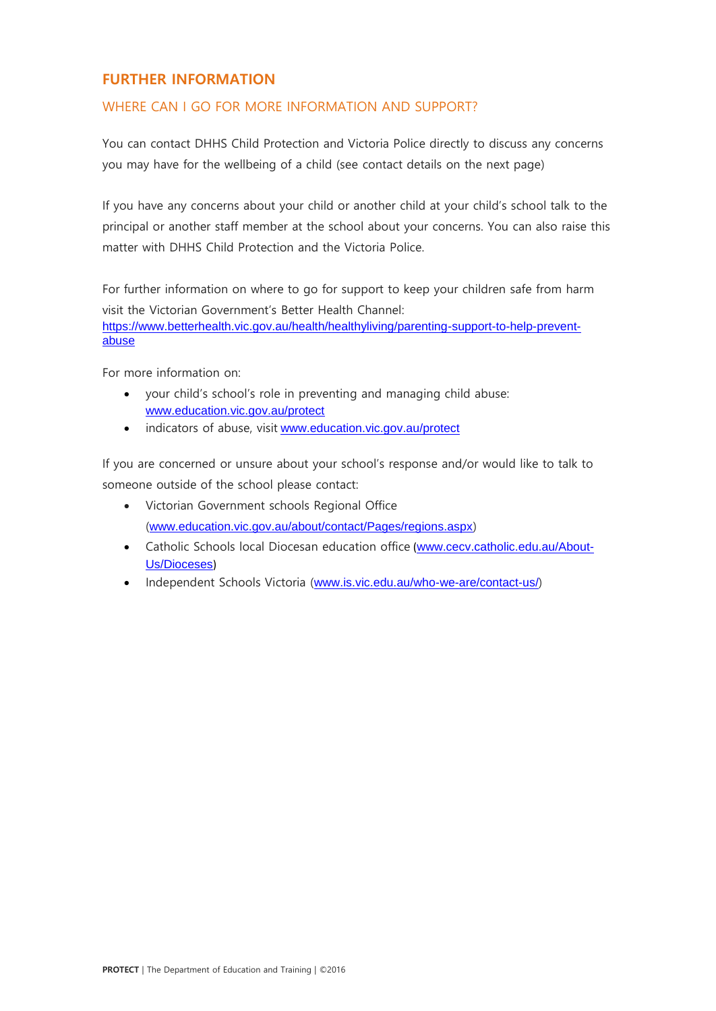# **FURTHER INFORMATION**

## WHERE CAN I GO FOR MORE INFORMATION AND SUPPORT?

You can contact DHHS Child Protection and Victoria Police directly to discuss any concerns you may have for the wellbeing of a child (see contact details on the next page)

If you have any concerns about your child or another child at your child's school talk to the principal or another staff member at the school about your concerns. You can also raise this matter with DHHS Child Protection and the Victoria Police.

For further information on where to go for support to keep your children safe from harm visit the Victorian Government's [Better Health Channel:](https://www.betterhealth.vic.gov.au/health/healthyliving/parenting-support-to-help-prevent-abuse) [https://www.betterhealth.vic.gov.au/health/healthyliving/parenting-support-to-help-prevent](https://www.betterhealth.vic.gov.au/health/healthyliving/parenting-support-to-help-prevent-abuse)[abuse](https://www.betterhealth.vic.gov.au/health/healthyliving/parenting-support-to-help-prevent-abuse)

For more information on:

- your child's school's role in preventing and managing child abuse: [www.education.vic.gov.au/protect](http://www.education.vic.gov.au/protect)
- indicators of abuse, visit [www.education.vic.gov.au/protect](http://www.education.vic.gov.au/protect)

If you are concerned or unsure about your school's response and/or would like to talk to someone outside of the school please contact:

- Victorian Government schools Regional Office (www.education.vic.gov.au/about/contact/Pages/regions.aspx)
- Catholic Schools local Diocesan education office ([www.cecv.catholic.edu.au/About-](http://www.cecv.catholic.edu.au/About-Us/Dioceses)[Us/Dioceses](http://www.cecv.catholic.edu.au/About-Us/Dioceses))
- Independent Schools Victoria ([www.is.vic.edu.au/who-we-are/contact-us/](http://www.is.vic.edu.au/who-we-are/contact-us/))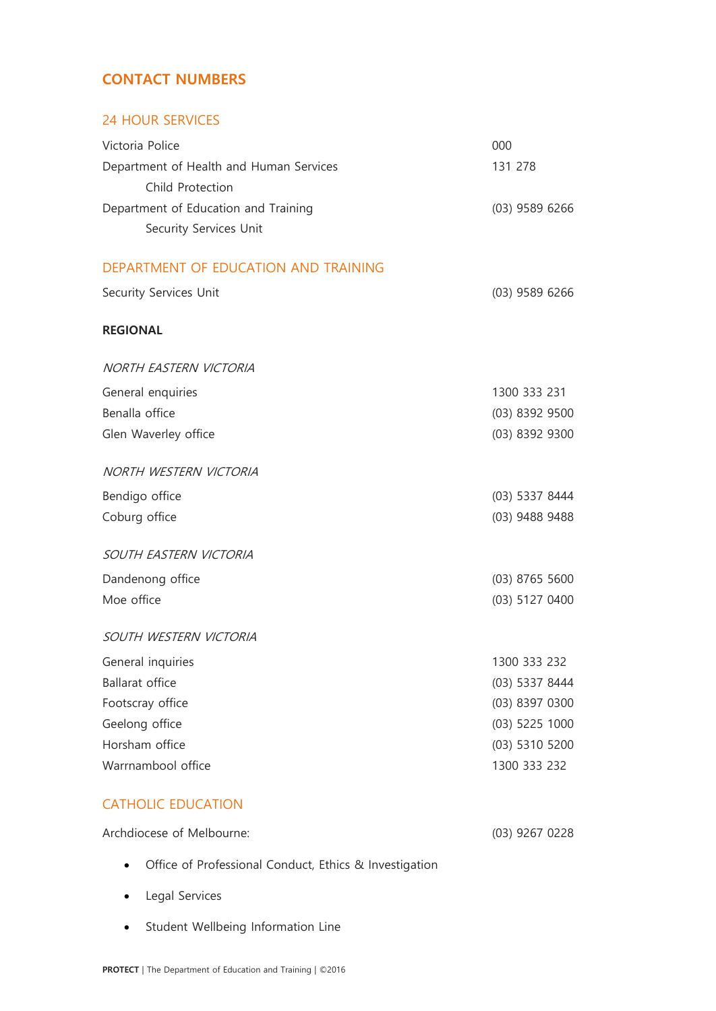# **CONTACT NUMBERS**

## 24 HOUR SERVICES

| Victoria Police                                        | 000              |
|--------------------------------------------------------|------------------|
| Department of Health and Human Services                | 131 278          |
| Child Protection                                       |                  |
| Department of Education and Training                   | $(03)$ 9589 6266 |
| Security Services Unit                                 |                  |
| DEPARTMENT OF EDUCATION AND TRAINING                   |                  |
| Security Services Unit                                 | $(03)$ 9589 6266 |
|                                                        |                  |
| <b>REGIONAL</b>                                        |                  |
| NORTH EASTERN VICTORIA                                 |                  |
| General enquiries                                      | 1300 333 231     |
| Benalla office                                         | (03) 8392 9500   |
| Glen Waverley office                                   | (03) 8392 9300   |
| NORTH WESTERN VICTORIA                                 |                  |
| Bendigo office                                         | (03) 5337 8444   |
| Coburg office                                          | (03) 9488 9488   |
| SOUTH EASTERN VICTORIA                                 |                  |
| Dandenong office                                       | $(03)$ 8765 5600 |
| Moe office                                             | (03) 5127 0400   |
| SOUTH WESTERN VICTORIA                                 |                  |
| General inquiries                                      | 1300 333 232     |
| <b>Ballarat office</b>                                 | (03) 5337 8444   |
| Footscray office                                       | (03) 8397 0300   |
| Geelong office                                         | (03) 5225 1000   |
| Horsham office                                         | (03) 5310 5200   |
| Warrnambool office                                     | 1300 333 232     |
| <b>CATHOLIC EDUCATION</b>                              |                  |
| Archdiocese of Melbourne:                              | $(03)$ 9267 0228 |
| Office of Professional Conduct, Ethics & Investigation |                  |

- Legal Services
- Student Wellbeing Information Line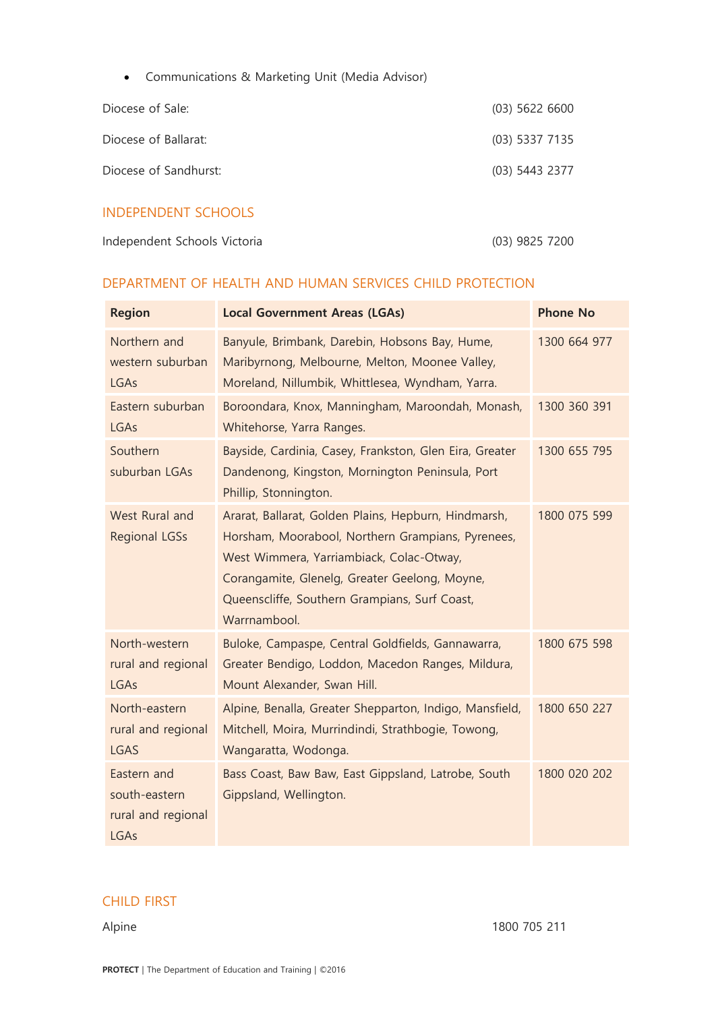| Communications & Marketing Unit (Media Advisor) |  |  |  |
|-------------------------------------------------|--|--|--|
|                                                 |  |  |  |

| Diocese of Sale:       | $(03)$ 5622 6600 |
|------------------------|------------------|
| Diocese of Ballarat:   | $(03)$ 5337 7135 |
| Diocese of Sandhurst:  | $(03)$ 5443 2377 |
| INIDEDENIDENIT CCHOOLC |                  |

## INDEPENDENT SCHOOLS

| Independent Schools Victoria | (03) 9825 7200 |
|------------------------------|----------------|
|                              |                |

## DEPARTMENT OF HEALTH AND HUMAN SERVICES CHILD PROTECTION

| <b>Region</b>                                              | <b>Local Government Areas (LGAs)</b>                                                                                                                                                                                                                                    | <b>Phone No</b> |
|------------------------------------------------------------|-------------------------------------------------------------------------------------------------------------------------------------------------------------------------------------------------------------------------------------------------------------------------|-----------------|
| Northern and<br>western suburban<br>LGAs                   | Banyule, Brimbank, Darebin, Hobsons Bay, Hume,<br>Maribyrnong, Melbourne, Melton, Moonee Valley,<br>Moreland, Nillumbik, Whittlesea, Wyndham, Yarra.                                                                                                                    | 1300 664 977    |
| Eastern suburban<br>LGAs                                   | Boroondara, Knox, Manningham, Maroondah, Monash,<br>Whitehorse, Yarra Ranges.                                                                                                                                                                                           | 1300 360 391    |
| Southern<br>suburban LGAs                                  | Bayside, Cardinia, Casey, Frankston, Glen Eira, Greater<br>Dandenong, Kingston, Mornington Peninsula, Port<br>Phillip, Stonnington.                                                                                                                                     | 1300 655 795    |
| West Rural and<br><b>Regional LGSs</b>                     | Ararat, Ballarat, Golden Plains, Hepburn, Hindmarsh,<br>Horsham, Moorabool, Northern Grampians, Pyrenees,<br>West Wimmera, Yarriambiack, Colac-Otway,<br>Corangamite, Glenelg, Greater Geelong, Moyne,<br>Queenscliffe, Southern Grampians, Surf Coast,<br>Warrnambool. | 1800 075 599    |
| North-western<br>rural and regional<br>LGAs                | Buloke, Campaspe, Central Goldfields, Gannawarra,<br>Greater Bendigo, Loddon, Macedon Ranges, Mildura,<br>Mount Alexander, Swan Hill.                                                                                                                                   | 1800 675 598    |
| North-eastern<br>rural and regional<br><b>LGAS</b>         | Alpine, Benalla, Greater Shepparton, Indigo, Mansfield,<br>Mitchell, Moira, Murrindindi, Strathbogie, Towong,<br>Wangaratta, Wodonga.                                                                                                                                   | 1800 650 227    |
| Eastern and<br>south-eastern<br>rural and regional<br>LGAs | Bass Coast, Baw Baw, East Gippsland, Latrobe, South<br>Gippsland, Wellington.                                                                                                                                                                                           | 1800 020 202    |

# CHILD FIRST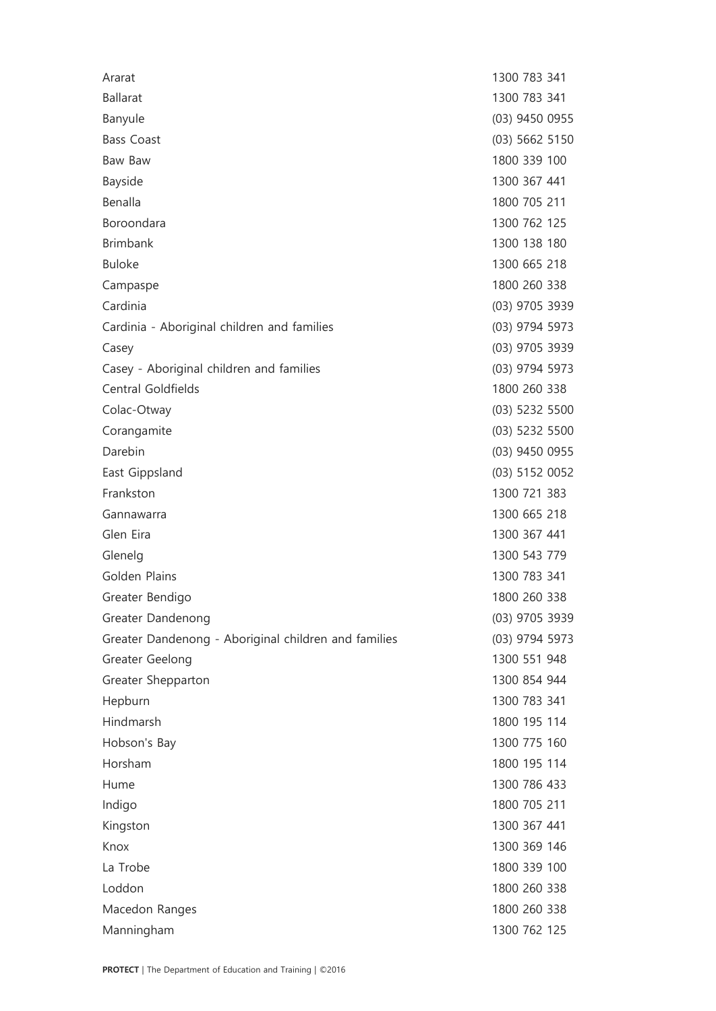| Ararat                                               | 1300 783 341   |
|------------------------------------------------------|----------------|
| <b>Ballarat</b>                                      | 1300 783 341   |
| Banyule                                              | (03) 9450 0955 |
| <b>Bass Coast</b>                                    | (03) 5662 5150 |
| Baw Baw                                              | 1800 339 100   |
| Bayside                                              | 1300 367 441   |
| Benalla                                              | 1800 705 211   |
| Boroondara                                           | 1300 762 125   |
| <b>Brimbank</b>                                      | 1300 138 180   |
| <b>Buloke</b>                                        | 1300 665 218   |
| Campaspe                                             | 1800 260 338   |
| Cardinia                                             | (03) 9705 3939 |
| Cardinia - Aboriginal children and families          | (03) 9794 5973 |
| Casey                                                | (03) 9705 3939 |
| Casey - Aboriginal children and families             | (03) 9794 5973 |
| Central Goldfields                                   | 1800 260 338   |
| Colac-Otway                                          | (03) 5232 5500 |
| Corangamite                                          | (03) 5232 5500 |
| Darebin                                              | (03) 9450 0955 |
| East Gippsland                                       | (03) 5152 0052 |
| Frankston                                            | 1300 721 383   |
| Gannawarra                                           | 1300 665 218   |
| Glen Eira                                            | 1300 367 441   |
| Glenelg                                              | 1300 543 779   |
| Golden Plains                                        | 1300 783 341   |
| Greater Bendigo                                      | 1800 260 338   |
| Greater Dandenong                                    | (03) 9705 3939 |
| Greater Dandenong - Aboriginal children and families | (03) 9794 5973 |
| Greater Geelong                                      | 1300 551 948   |
| Greater Shepparton                                   | 1300 854 944   |
| Hepburn                                              | 1300 783 341   |
| Hindmarsh                                            | 1800 195 114   |
| Hobson's Bay                                         | 1300 775 160   |
| Horsham                                              | 1800 195 114   |
| Hume                                                 | 1300 786 433   |
| Indigo                                               | 1800 705 211   |
| Kingston                                             | 1300 367 441   |
| Knox                                                 | 1300 369 146   |
| La Trobe                                             | 1800 339 100   |
| Loddon                                               | 1800 260 338   |
| Macedon Ranges                                       | 1800 260 338   |
| Manningham                                           | 1300 762 125   |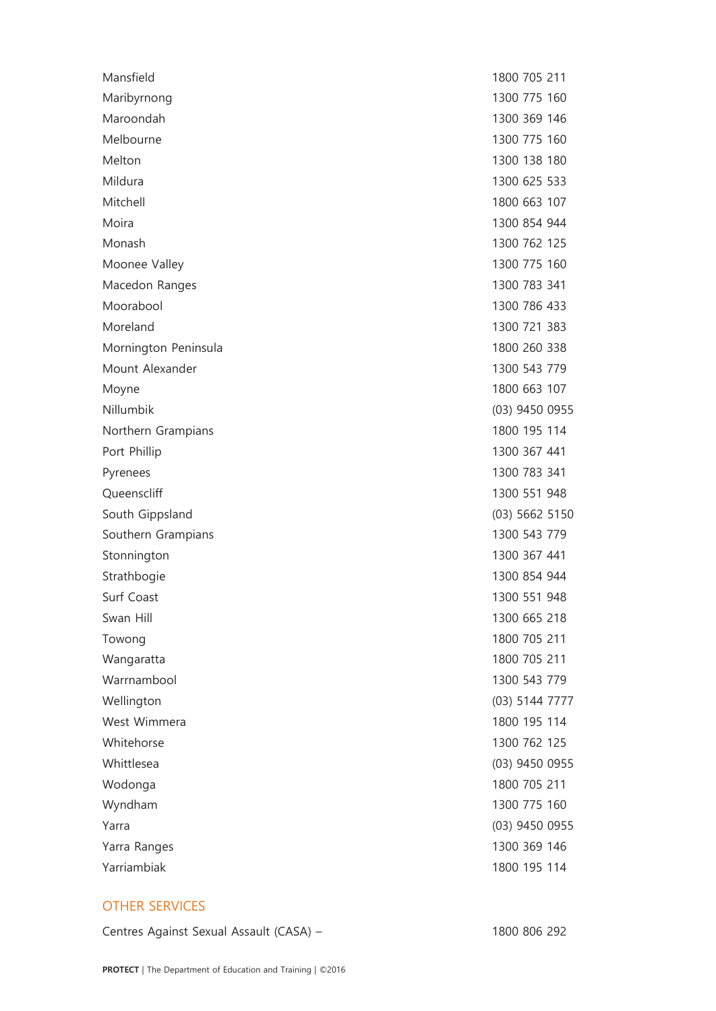#### OTHER SERVICES

Centres Against Sexual Assault (CASA) – 1800 806 292